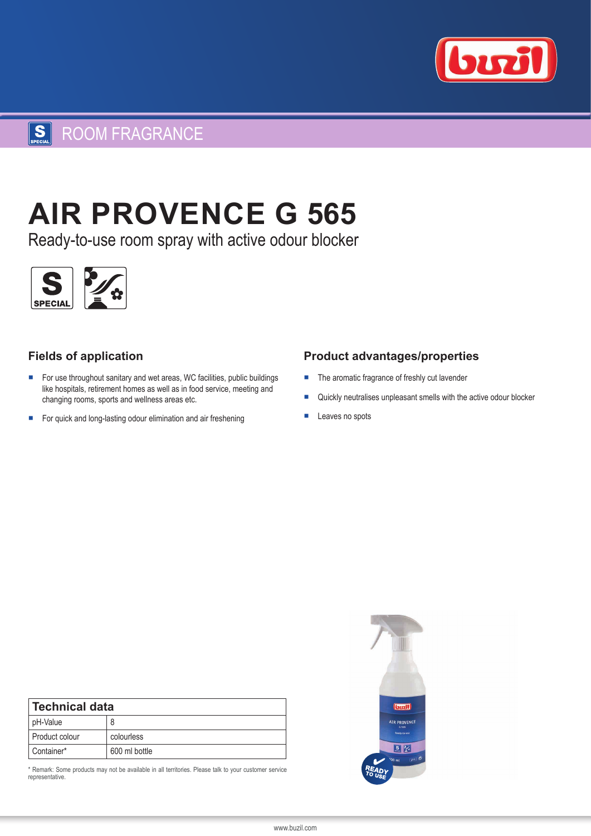

# SECIAL ROOM FRAGRANCE

# **AIR PROVENCE G 565**

Ready-to-use room spray with active odour blocker



## **Fields of application**

- For use throughout sanitary and wet areas, WC facilities, public buildings like hospitals, retirement homes as well as in food service, meeting and changing rooms, sports and wellness areas etc.
- For quick and long-lasting odour elimination and air freshening

### **Product advantages/properties**

- The aromatic fragrance of freshly cut lavender
- Quickly neutralises unpleasant smells with the active odour blocker
- Leaves no spots

| <b>Technical data</b> |               |
|-----------------------|---------------|
| pH-Value              | 8             |
| Product colour        | colourless    |
| Container*            | 600 ml bottle |

\* Remark: Some products may not be available in all territories. Please talk to your customer service representative.